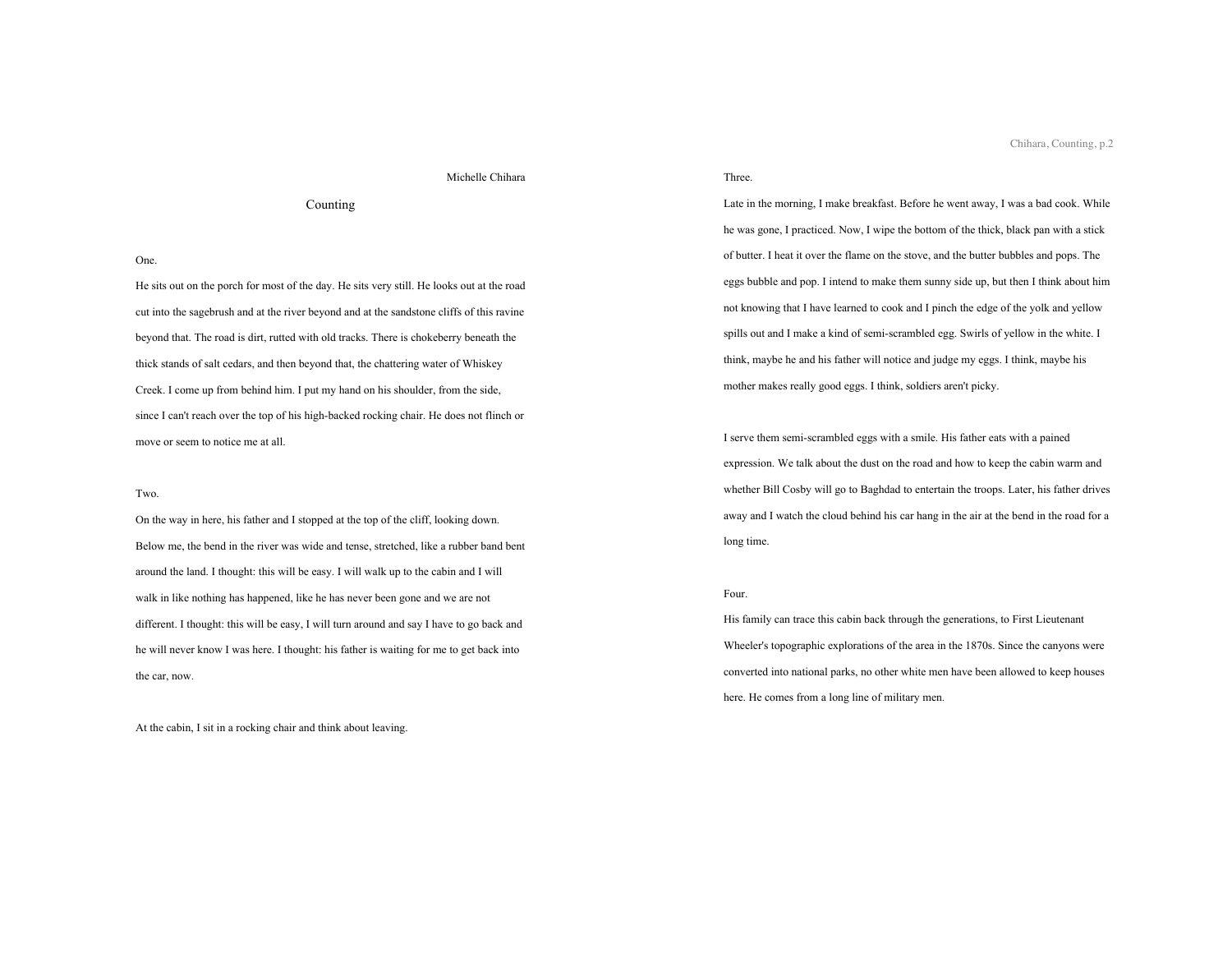# Michelle Chihara

# Counting

## One.

He sits out on the porch for most of the day. He sits very still. He looks out at the road cut into the sagebrush and at the river beyond and at the sandstone cliffs of this ravine beyond that. The road is dirt, rutted with old tracks. There is chokeberry beneath the thick stands of salt cedars, and then beyond that, the chattering water of Whiskey Creek. I come up from behind him. I put my hand on his shoulder, from the side, since I can't reach over the top of his high-backed rocking chair. He does not flinch or move or seem to notice me at all.

## Two.

On the way in here, his father and I stopped at the top of the cliff, looking down. Below me, the bend in the river was wide and tense, stretched, like a rubber band bent around the land. I thought: this will be easy. I will walk up to the cabin and I will walk in like nothing has happened, like he has never been gone and we are not different. I thought: this will be easy, I will turn around and say I have to go back and he will never know I was here. I thought: his father is waiting for me to get back into the car, now.

At the cabin, I sit in a rocking chair and think about leaving.

# Three.

Late in the morning, I make breakfast. Before he went away, I was a bad cook. While he was gone, I practiced. Now, I wipe the bottom of the thick, black pan with a stick of butter. I heat it over the flame on the stove, and the butter bubbles and pops. The eggs bubble and pop. I intend to make them sunny side up, but then I think about him not knowing that I have learned to cook and I pinch the edge of the yolk and yellow spills out and I make a kind of semi-scrambled egg. Swirls of yellow in the white. I think, maybe he and his father will notice and judge my eggs. I think, maybe his mother makes really good eggs. I think, soldiers aren't picky.

I serve them semi-scrambled eggs with a smile. His father eats with a pained expression. We talk about the dust on the road and how to keep the cabin warm and whether Bill Cosby will go to Baghdad to entertain the troops. Later, his father drives away and I watch the cloud behind his car hang in the air at the bend in the road for a long time.

# Four.

His family can trace this cabin back through the generations, to First Lieutenant Wheeler's topographic explorations of the area in the 1870s. Since the canyons were converted into national parks, no other white men have been allowed to keep houses here. He comes from a long line of military men.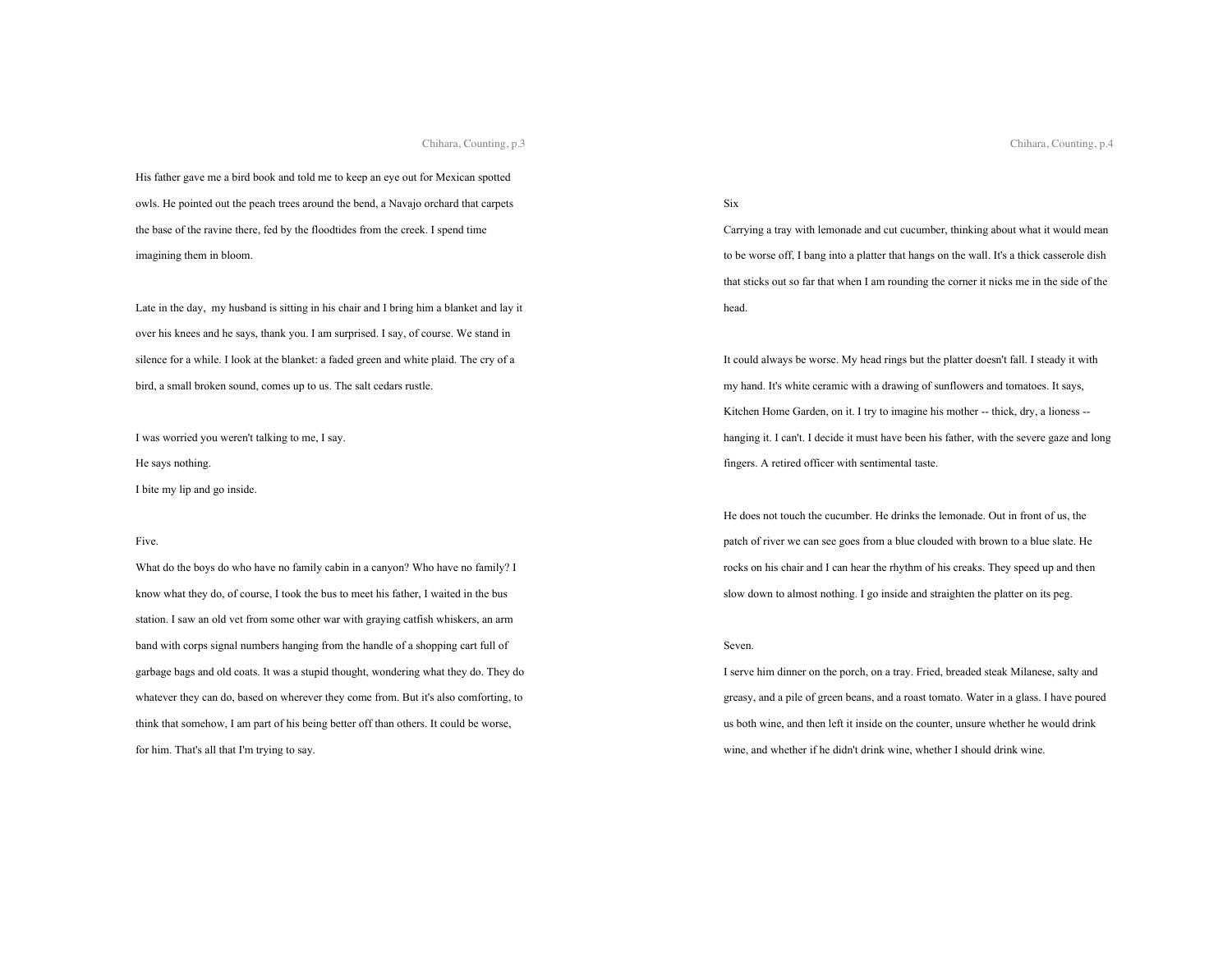His father gave me a bird book and told me to keep an eye out for Mexican spotted owls. He pointed out the peach trees around the bend, a Navajo orchard that carpets the base of the ravine there, fed by the floodtides from the creek. I spend time imagining them in bloom.

Late in the day, my husband is sitting in his chair and I bring him a blanket and lay it over his knees and he says, thank you. I am surprised. I say, of course. We stand in silence for a while. I look at the blanket: a faded green and white plaid. The cry of a bird, a small broken sound, comes up to us. The salt cedars rustle.

I was worried you weren't talking to me, I say.

He says nothing.

I bite my lip and go inside.

#### Five.

What do the boys do who have no family cabin in a canyon? Who have no family? I know what they do, of course, I took the bus to meet his father, I waited in the bus station. I saw an old vet from some other war with graying catfish whiskers, an arm band with corps signal numbers hanging from the handle of a shopping cart full of garbage bags and old coats. It was a stupid thought, wondering what they do. They do whatever they can do, based on wherever they come from. But it's also comforting, to think that somehow, I am part of his being better off than others. It could be worse, for him. That's all that I'm trying to say.

# Six

Carrying a tray with lemonade and cut cucumber, thinking about what it would mean to be worse off, I bang into a platter that hangs on the wall. It's a thick casserole dish that sticks out so far that when I am rounding the corner it nicks me in the side of the head.

It could always be worse. My head rings but the platter doesn't fall. I steady it with my hand. It's white ceramic with a drawing of sunflowers and tomatoes. It says, Kitchen Home Garden, on it. I try to imagine his mother -- thick, dry, a lioness - hanging it. I can't. I decide it must have been his father, with the severe gaze and long fingers. A retired officer with sentimental taste.

He does not touch the cucumber. He drinks the lemonade. Out in front of us, the patch of river we can see goes from a blue clouded with brown to a blue slate. He rocks on his chair and I can hear the rhythm of his creaks. They speed up and then slow down to almost nothing. I go inside and straighten the platter on its peg.

#### Seven.

I serve him dinner on the porch, on a tray. Fried, breaded steak Milanese, salty and greasy, and a pile of green beans, and a roast tomato. Water in a glass. I have poured us both wine, and then left it inside on the counter, unsure whether he would drink wine, and whether if he didn't drink wine, whether I should drink wine.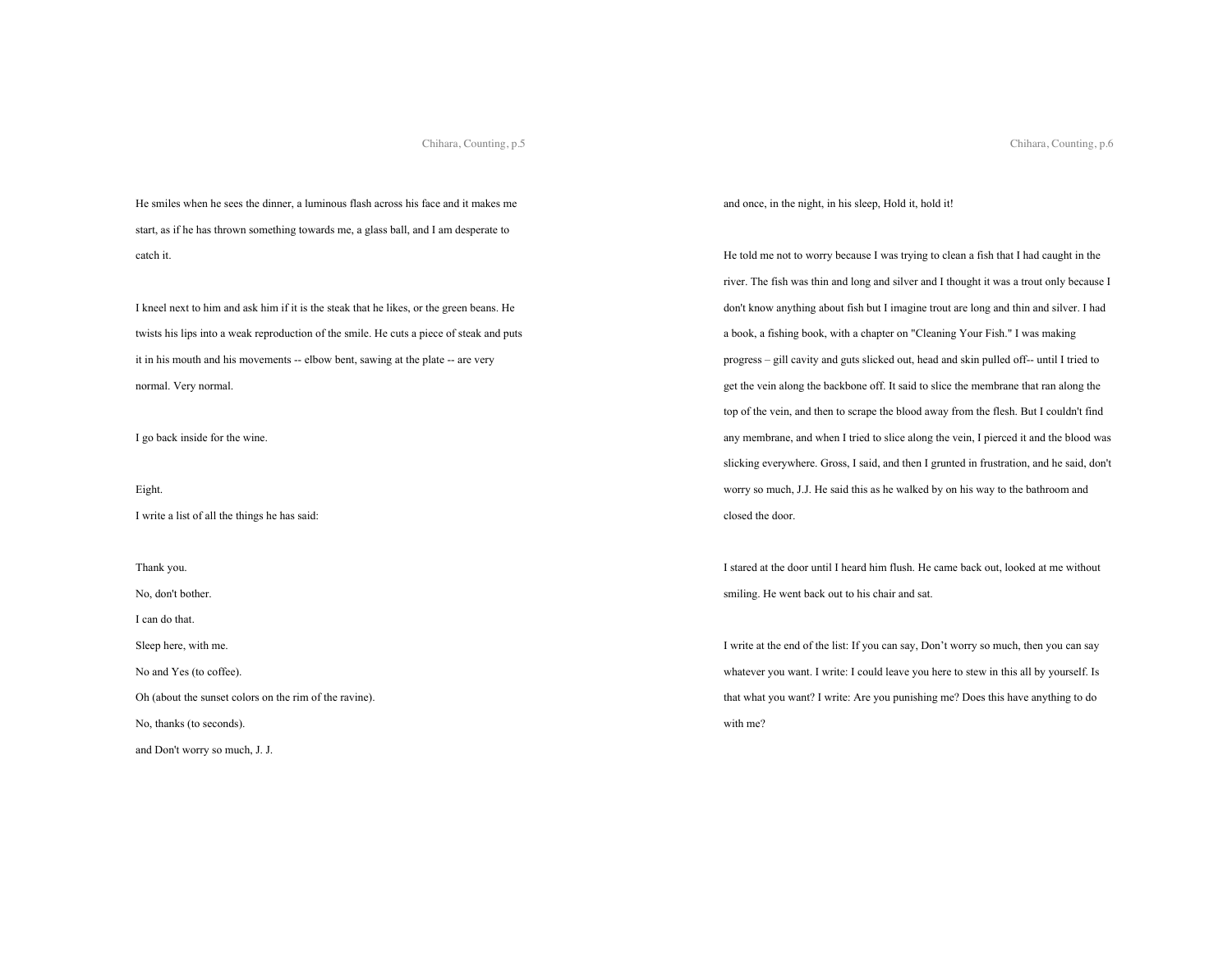Chihara, Counting, p.6

He smiles when he sees the dinner, a luminous flash across his face and it makes me start, as if he has thrown something towards me, a glass ball, and I am desperate to catch it.

I kneel next to him and ask him if it is the steak that he likes, or the green beans. He twists his lips into a weak reproduction of the smile. He cuts a piece of steak and puts it in his mouth and his movements -- elbow bent, sawing at the plate -- are very normal. Very normal.

I go back inside for the wine.

# Eight.

I write a list of all the things he has said:

Thank you.

No, don't bother.

I can do that.

Sleep here, with me.

No and Yes (to coffee).

Oh (about the sunset colors on the rim of the ravine).

No, thanks (to seconds).

and Don't worry so much, J. J.

and once, in the night, in his sleep, Hold it, hold it!

He told me not to worry because I was trying to clean a fish that I had caught in the river. The fish was thin and long and silver and I thought it was a trout only because I don't know anything about fish but I imagine trout are long and thin and silver. I had a book, a fishing book, with a chapter on "Cleaning Your Fish." I was making progress – gill cavity and guts slicked out, head and skin pulled off-- until I tried to get the vein along the backbone off. It said to slice the membrane that ran along the top of the vein, and then to scrape the blood away from the flesh. But I couldn't find any membrane, and when I tried to slice along the vein, I pierced it and the blood was slicking everywhere. Gross, I said, and then I grunted in frustration, and he said, don't worry so much, J.J. He said this as he walked by on his way to the bathroom and closed the door.

I stared at the door until I heard him flush. He came back out, looked at me without smiling. He went back out to his chair and sat.

I write at the end of the list: If you can say, Don't worry so much, then you can say whatever you want. I write: I could leave you here to stew in this all by yourself. Is that what you want? I write: Are you punishing me? Does this have anything to do with me?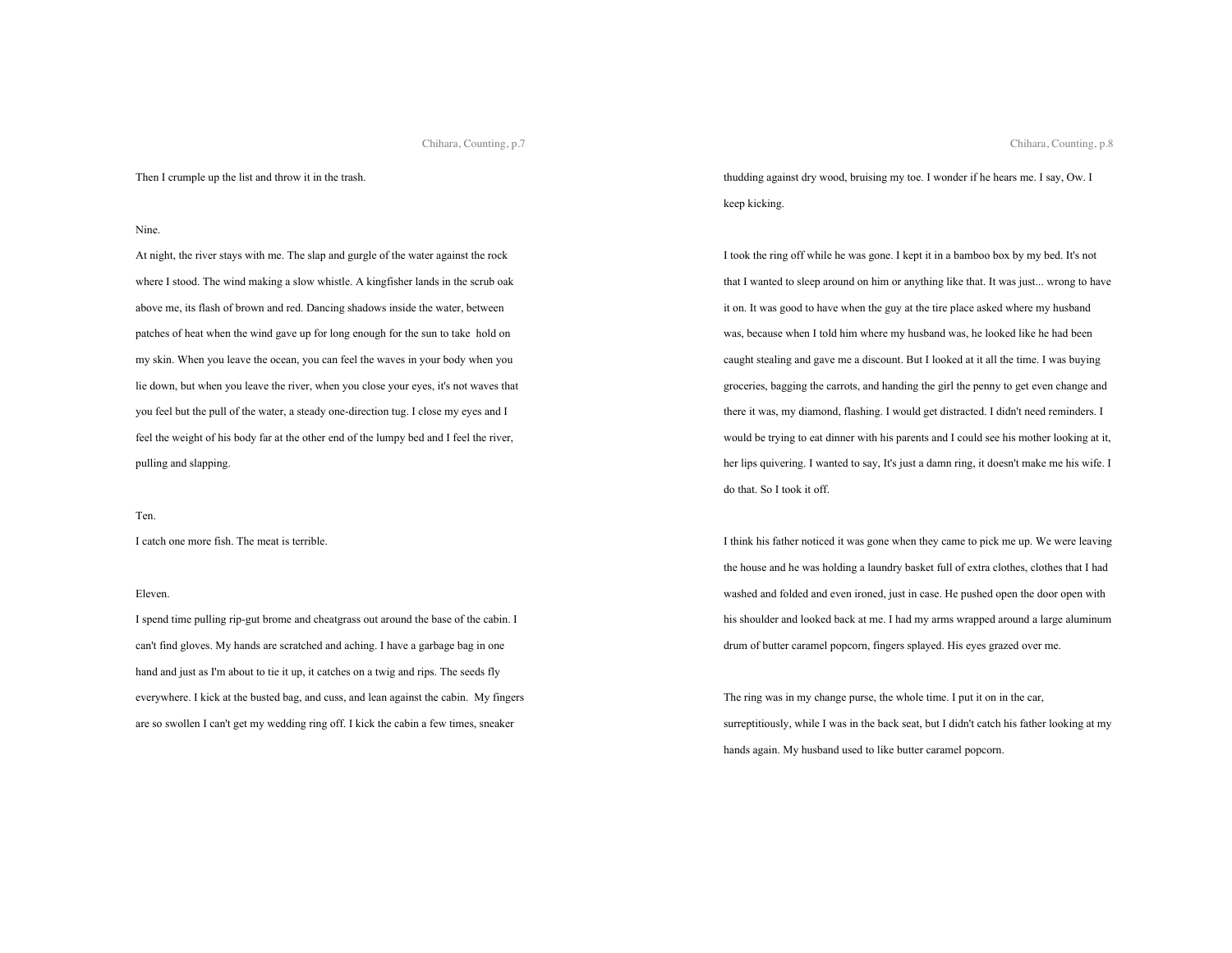Then I crumple up the list and throw it in the trash.

#### Nine.

At night, the river stays with me. The slap and gurgle of the water against the rock where I stood. The wind making a slow whistle. A kingfisher lands in the scrub oak above me, its flash of brown and red. Dancing shadows inside the water, between patches of heat when the wind gave up for long enough for the sun to take hold on my skin. When you leave the ocean, you can feel the waves in your body when you lie down, but when you leave the river, when you close your eyes, it's not waves that you feel but the pull of the water, a steady one-direction tug. I close my eyes and I feel the weight of his body far at the other end of the lumpy bed and I feel the river, pulling and slapping.

## Ten.

I catch one more fish. The meat is terrible.

## Eleven.

I spend time pulling rip-gut brome and cheatgrass out around the base of the cabin. I can't find gloves. My hands are scratched and aching. I have a garbage bag in one hand and just as I'm about to tie it up, it catches on a twig and rips. The seeds fly everywhere. I kick at the busted bag, and cuss, and lean against the cabin. My fingers are so swollen I can't get my wedding ring off. I kick the cabin a few times, sneaker

thudding against dry wood, bruising my toe. I wonder if he hears me. I say, Ow. I keep kicking.

I took the ring off while he was gone. I kept it in a bamboo box by my bed. It's not that I wanted to sleep around on him or anything like that. It was just... wrong to have it on. It was good to have when the guy at the tire place asked where my husband was, because when I told him where my husband was, he looked like he had been caught stealing and gave me a discount. But I looked at it all the time. I was buying groceries, bagging the carrots, and handing the girl the penny to get even change and there it was, my diamond, flashing. I would get distracted. I didn't need reminders. I would be trying to eat dinner with his parents and I could see his mother looking at it, her lips quivering. I wanted to say, It's just a damn ring, it doesn't make me his wife. I do that. So I took it off.

I think his father noticed it was gone when they came to pick me up. We were leaving the house and he was holding a laundry basket full of extra clothes, clothes that I had washed and folded and even ironed, just in case. He pushed open the door open with his shoulder and looked back at me. I had my arms wrapped around a large aluminum drum of butter caramel popcorn, fingers splayed. His eyes grazed over me.

The ring was in my change purse, the whole time. I put it on in the car, surreptitiously, while I was in the back seat, but I didn't catch his father looking at my hands again. My husband used to like butter caramel popcorn.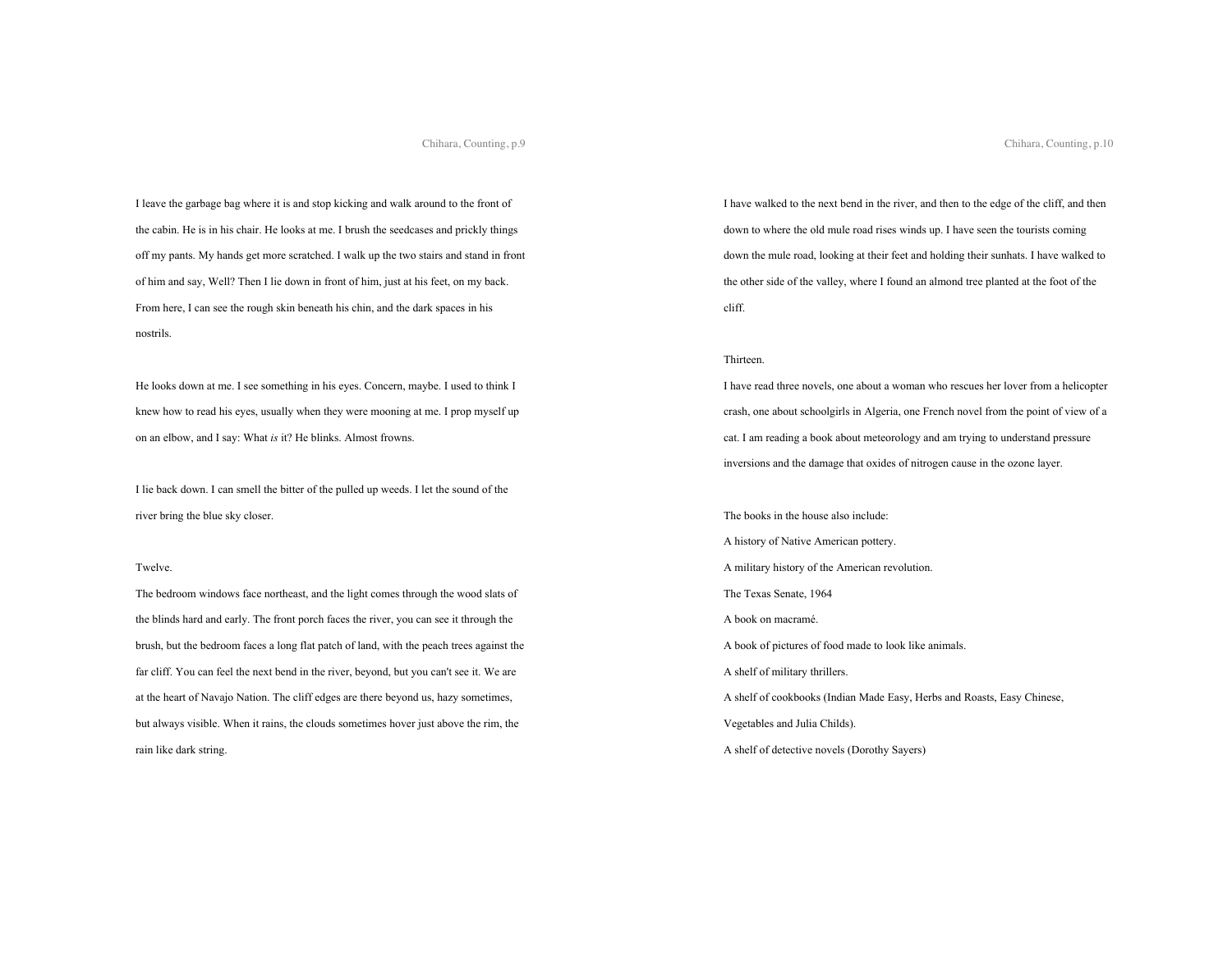I leave the garbage bag where it is and stop kicking and walk around to the front of the cabin. He is in his chair. He looks at me. I brush the seedcases and prickly things off my pants. My hands get more scratched. I walk up the two stairs and stand in front of him and say, Well? Then I lie down in front of him, just at his feet, on my back. From here, I can see the rough skin beneath his chin, and the dark spaces in his nostrils.

He looks down at me. I see something in his eyes. Concern, maybe. I used to think I knew how to read his eyes, usually when they were mooning at me. I prop myself up on an elbow, and I say: What *is* it? He blinks. Almost frowns.

I lie back down. I can smell the bitter of the pulled up weeds. I let the sound of the river bring the blue sky closer.

#### Twelve.

The bedroom windows face northeast, and the light comes through the wood slats of the blinds hard and early. The front porch faces the river, you can see it through the brush, but the bedroom faces a long flat patch of land, with the peach trees against the far cliff. You can feel the next bend in the river, beyond, but you can't see it. We are at the heart of Navajo Nation. The cliff edges are there beyond us, hazy sometimes, but always visible. When it rains, the clouds sometimes hover just above the rim, the rain like dark string.

I have walked to the next bend in the river, and then to the edge of the cliff, and then down to where the old mule road rises winds up. I have seen the tourists coming down the mule road, looking at their feet and holding their sunhats. I have walked to the other side of the valley, where I found an almond tree planted at the foot of the cliff.

# Thirteen.

I have read three novels, one about a woman who rescues her lover from a helicopter crash, one about schoolgirls in Algeria, one French novel from the point of view of a cat. I am reading a book about meteorology and am trying to understand pressure inversions and the damage that oxides of nitrogen cause in the ozone layer.

The books in the house also include: A history of Native American pottery. A military history of the American revolution. The Texas Senate, 1964 A book on macramé. A book of pictures of food made to look like animals. A shelf of military thrillers. A shelf of cookbooks (Indian Made Easy, Herbs and Roasts, Easy Chinese, Vegetables and Julia Childs). A shelf of detective novels (Dorothy Sayers)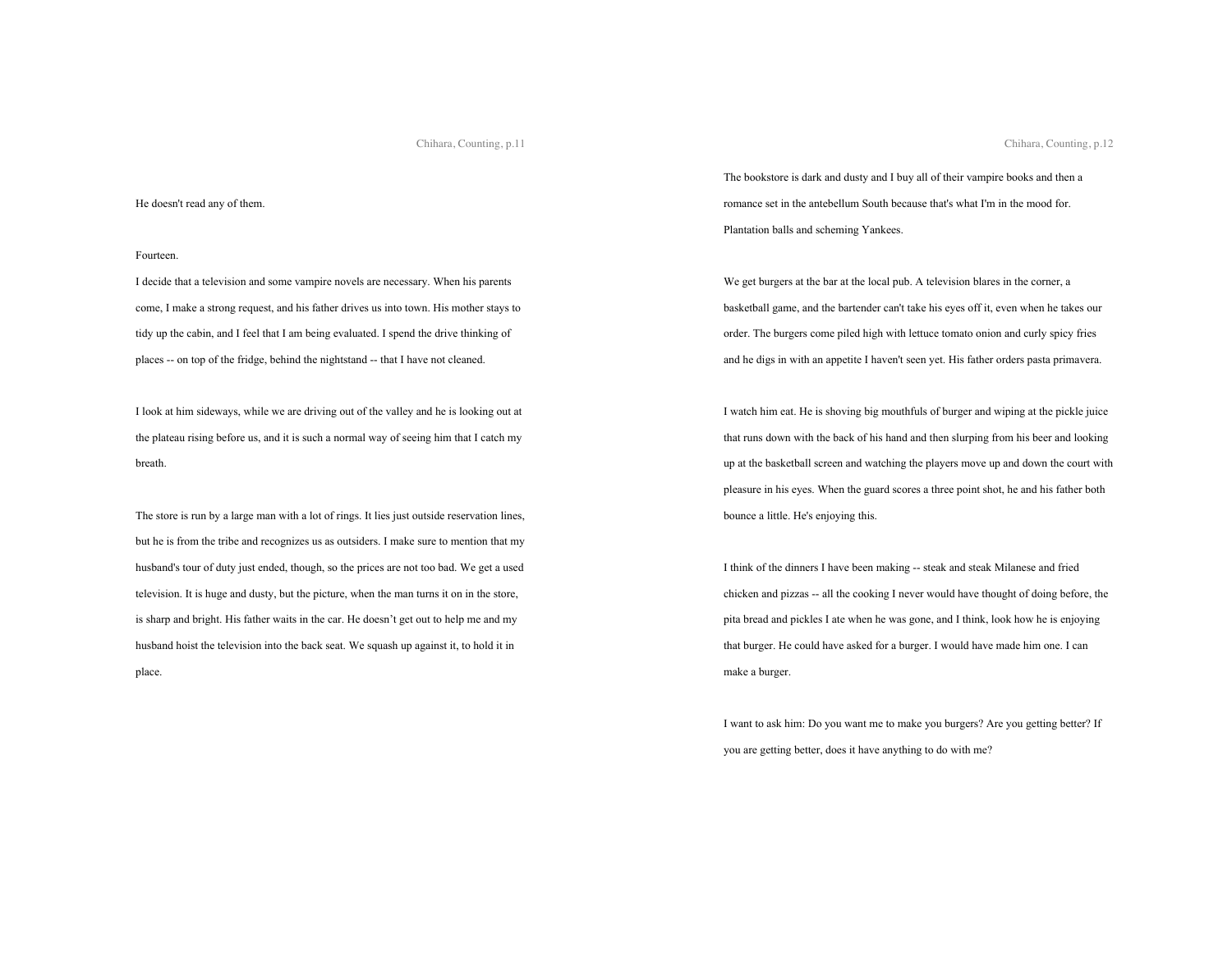#### He doesn't read any of them.

#### Fourteen.

I decide that a television and some vampire novels are necessary. When his parents come, I make a strong request, and his father drives us into town. His mother stays to tidy up the cabin, and I feel that I am being evaluated. I spend the drive thinking of places -- on top of the fridge, behind the nightstand -- that I have not cleaned.

I look at him sideways, while we are driving out of the valley and he is looking out at the plateau rising before us, and it is such a normal way of seeing him that I catch my breath.

The store is run by a large man with a lot of rings. It lies just outside reservation lines, but he is from the tribe and recognizes us as outsiders. I make sure to mention that my husband's tour of duty just ended, though, so the prices are not too bad. We get a used television. It is huge and dusty, but the picture, when the man turns it on in the store, is sharp and bright. His father waits in the car. He doesn't get out to help me and my husband hoist the television into the back seat. We squash up against it, to hold it in place.

The bookstore is dark and dusty and I buy all of their vampire books and then a romance set in the antebellum South because that's what I'm in the mood for. Plantation balls and scheming Yankees.

We get burgers at the bar at the local pub. A television blares in the corner, a basketball game, and the bartender can't take his eyes off it, even when he takes our order. The burgers come piled high with lettuce tomato onion and curly spicy fries and he digs in with an appetite I haven't seen yet. His father orders pasta primavera.

I watch him eat. He is shoving big mouthfuls of burger and wiping at the pickle juice that runs down with the back of his hand and then slurping from his beer and looking up at the basketball screen and watching the players move up and down the court with pleasure in his eyes. When the guard scores a three point shot, he and his father both bounce a little. He's enjoying this.

I think of the dinners I have been making -- steak and steak Milanese and fried chicken and pizzas -- all the cooking I never would have thought of doing before, the pita bread and pickles I ate when he was gone, and I think, look how he is enjoying that burger. He could have asked for a burger. I would have made him one. I can make a burger.

I want to ask him: Do you want me to make you burgers? Are you getting better? If you are getting better, does it have anything to do with me?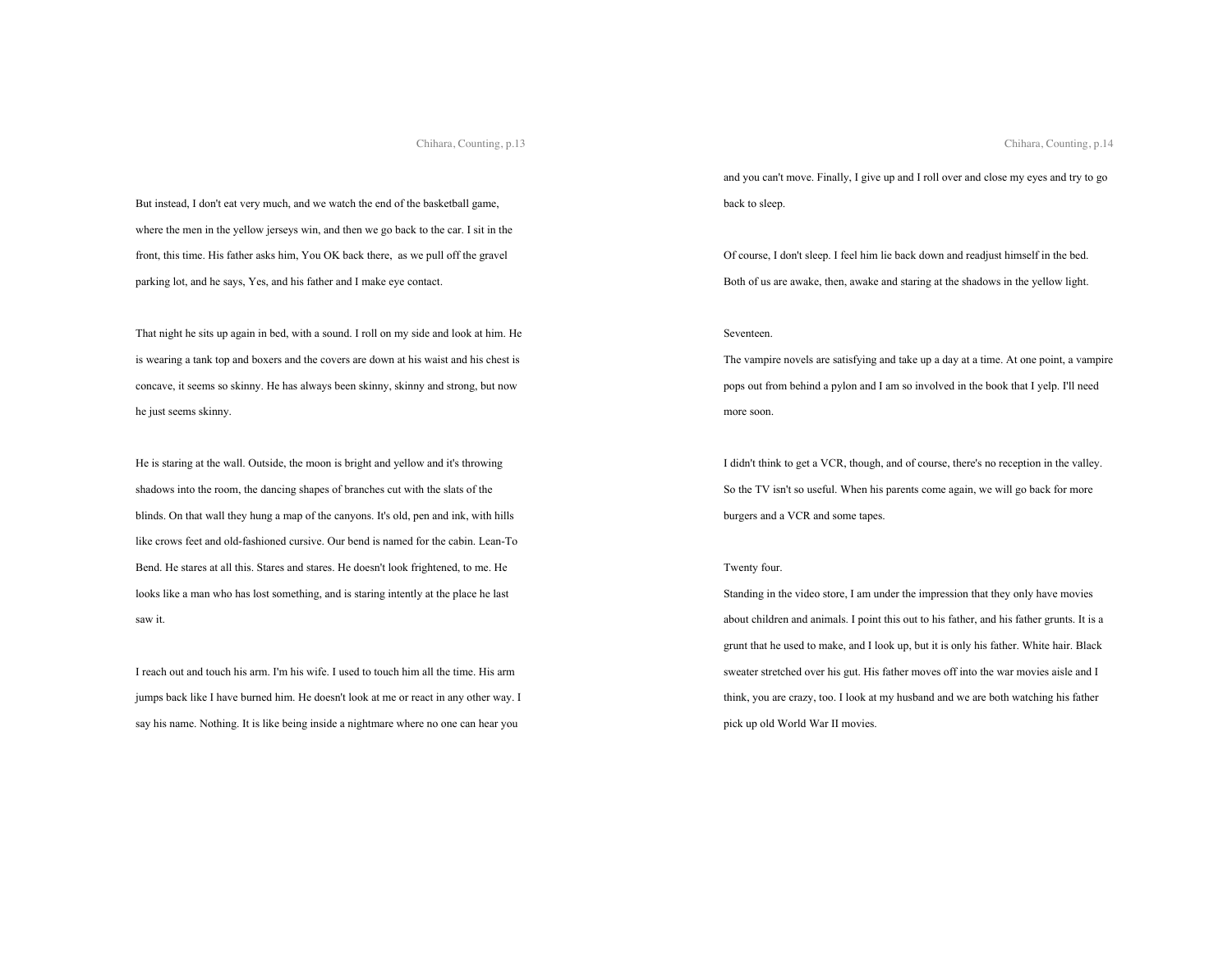But instead, I don't eat very much, and we watch the end of the basketball game, where the men in the yellow jerseys win, and then we go back to the car. I sit in the front, this time. His father asks him, You OK back there, as we pull off the gravel parking lot, and he says, Yes, and his father and I make eye contact.

That night he sits up again in bed, with a sound. I roll on my side and look at him. He is wearing a tank top and boxers and the covers are down at his waist and his chest is concave, it seems so skinny. He has always been skinny, skinny and strong, but now he just seems skinny.

He is staring at the wall. Outside, the moon is bright and yellow and it's throwing shadows into the room, the dancing shapes of branches cut with the slats of the blinds. On that wall they hung a map of the canyons. It's old, pen and ink, with hills like crows feet and old-fashioned cursive. Our bend is named for the cabin. Lean-To Bend. He stares at all this. Stares and stares. He doesn't look frightened, to me. He looks like a man who has lost something, and is staring intently at the place he last saw it.

I reach out and touch his arm. I'm his wife. I used to touch him all the time. His arm jumps back like I have burned him. He doesn't look at me or react in any other way. I say his name. Nothing. It is like being inside a nightmare where no one can hear you

and you can't move. Finally, I give up and I roll over and close my eyes and try to go back to sleep.

Of course, I don't sleep. I feel him lie back down and readjust himself in the bed. Both of us are awake, then, awake and staring at the shadows in the yellow light.

#### Seventeen.

The vampire novels are satisfying and take up a day at a time. At one point, a vampire pops out from behind a pylon and I am so involved in the book that I yelp. I'll need more soon.

I didn't think to get a VCR, though, and of course, there's no reception in the valley. So the TV isn't so useful. When his parents come again, we will go back for more burgers and a VCR and some tapes.

#### Twenty four.

Standing in the video store, I am under the impression that they only have movies about children and animals. I point this out to his father, and his father grunts. It is a grunt that he used to make, and I look up, but it is only his father. White hair. Black sweater stretched over his gut. His father moves off into the war movies aisle and I think, you are crazy, too. I look at my husband and we are both watching his father pick up old World War II movies.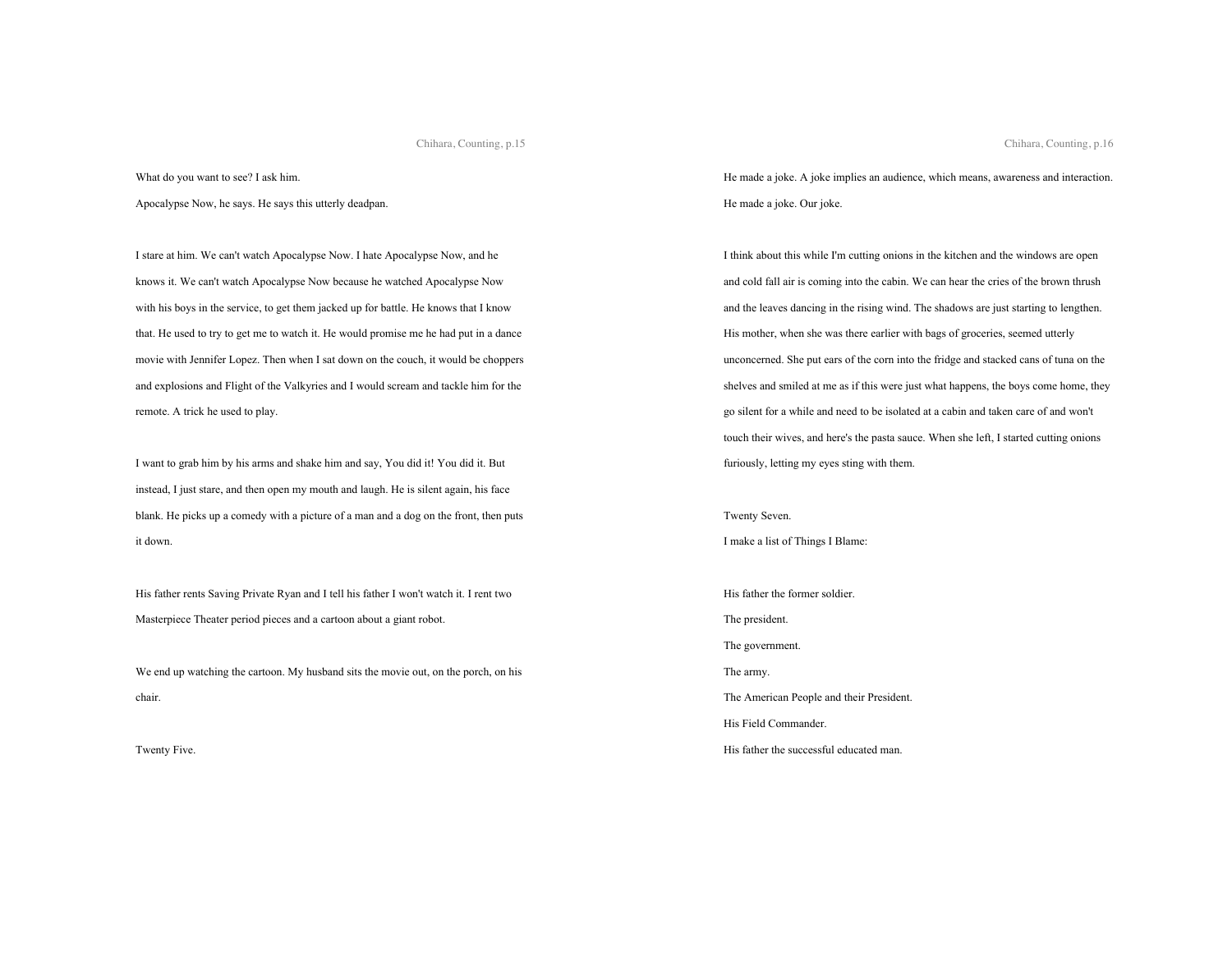What do you want to see? I ask him.

Apocalypse Now, he says. He says this utterly deadpan.

I stare at him. We can't watch Apocalypse Now. I hate Apocalypse Now, and he knows it. We can't watch Apocalypse Now because he watched Apocalypse Now with his boys in the service, to get them jacked up for battle. He knows that I know that. He used to try to get me to watch it. He would promise me he had put in a dance movie with Jennifer Lopez. Then when I sat down on the couch, it would be choppers and explosions and Flight of the Valkyries and I would scream and tackle him for the remote. A trick he used to play.

I want to grab him by his arms and shake him and say, You did it! You did it. But instead, I just stare, and then open my mouth and laugh. He is silent again, his face blank. He picks up a comedy with a picture of a man and a dog on the front, then puts it down.

His father rents Saving Private Ryan and I tell his father I won't watch it. I rent two Masterpiece Theater period pieces and a cartoon about a giant robot.

We end up watching the cartoon. My husband sits the movie out, on the porch, on his chair.

Twenty Five.

He made a joke. A joke implies an audience, which means, awareness and interaction. He made a joke. Our joke.

I think about this while I'm cutting onions in the kitchen and the windows are open and cold fall air is coming into the cabin. We can hear the cries of the brown thrush and the leaves dancing in the rising wind. The shadows are just starting to lengthen. His mother, when she was there earlier with bags of groceries, seemed utterly unconcerned. She put ears of the corn into the fridge and stacked cans of tuna on the shelves and smiled at me as if this were just what happens, the boys come home, they go silent for a while and need to be isolated at a cabin and taken care of and won't touch their wives, and here's the pasta sauce. When she left, I started cutting onions furiously, letting my eyes sting with them.

Twenty Seven. I make a list of Things I Blame:

His father the former soldier. The president. The government. The army. The American People and their President. His Field Commander. His father the successful educated man.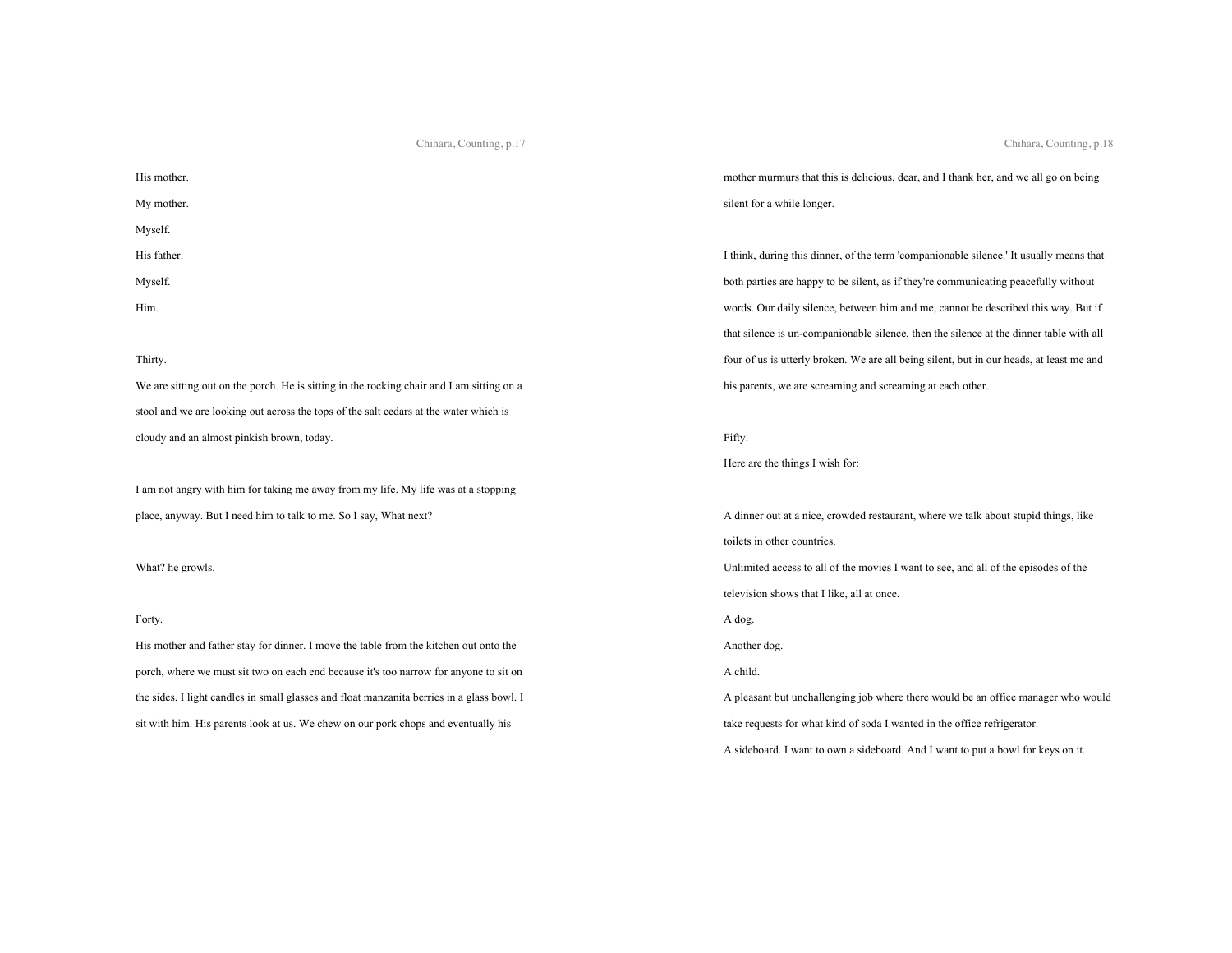His mother. My mother. Myself. His father. Myself. Him.

# Thirty.

We are sitting out on the porch. He is sitting in the rocking chair and I am sitting on a stool and we are looking out across the tops of the salt cedars at the water which is cloudy and an almost pinkish brown, today.

I am not angry with him for taking me away from my life. My life was at a stopping place, anyway. But I need him to talk to me. So I say, What next?

What? he growls.

# Forty.

His mother and father stay for dinner. I move the table from the kitchen out onto the porch, where we must sit two on each end because it's too narrow for anyone to sit on the sides. I light candles in small glasses and float manzanita berries in a glass bowl. I sit with him. His parents look at us. We chew on our pork chops and eventually his

Chihara, Counting, p.18

mother murmurs that this is delicious, dear, and I thank her, and we all go on being silent for a while longer.

I think, during this dinner, of the term 'companionable silence.' It usually means that both parties are happy to be silent, as if they're communicating peacefully without words. Our daily silence, between him and me, cannot be described this way. But if that silence is un-companionable silence, then the silence at the dinner table with all four of us is utterly broken. We are all being silent, but in our heads, at least me and his parents, we are screaming and screaming at each other.

Fifty.

Here are the things I wish for:

A dinner out at a nice, crowded restaurant, where we talk about stupid things, like toilets in other countries. Unlimited access to all of the movies I want to see, and all of the episodes of the television shows that I like, all at once. A dog. Another dog.

A child.

A pleasant but unchallenging job where there would be an office manager who would take requests for what kind of soda I wanted in the office refrigerator.

A sideboard. I want to own a sideboard. And I want to put a bowl for keys on it.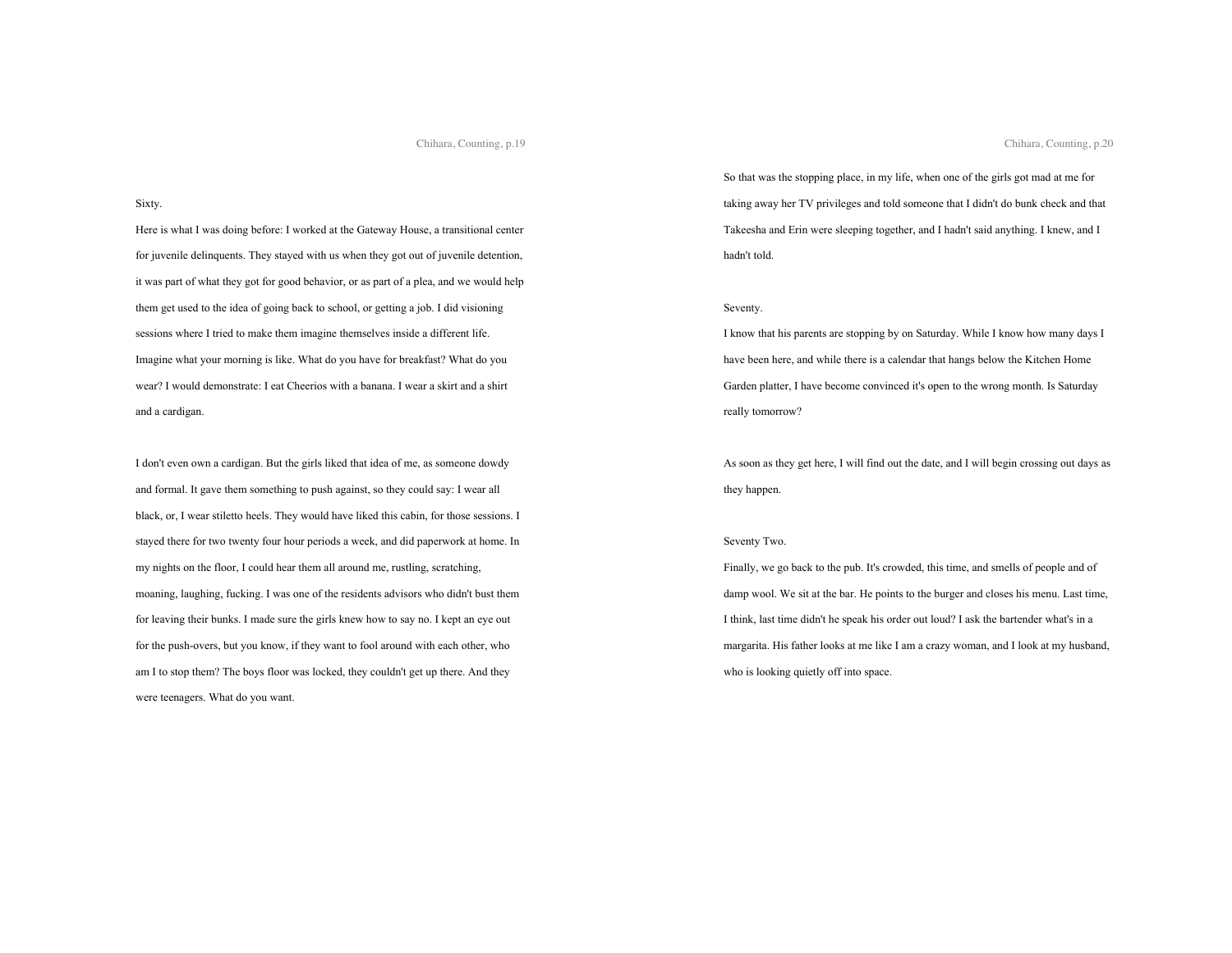### Sixty.

Here is what I was doing before: I worked at the Gateway House, a transitional center for juvenile delinquents. They stayed with us when they got out of juvenile detention, it was part of what they got for good behavior, or as part of a plea, and we would help them get used to the idea of going back to school, or getting a job. I did visioning sessions where I tried to make them imagine themselves inside a different life. Imagine what your morning is like. What do you have for breakfast? What do you wear? I would demonstrate: I eat Cheerios with a banana. I wear a skirt and a shirt and a cardigan.

I don't even own a cardigan. But the girls liked that idea of me, as someone dowdy and formal. It gave them something to push against, so they could say: I wear all black, or, I wear stiletto heels. They would have liked this cabin, for those sessions. I stayed there for two twenty four hour periods a week, and did paperwork at home. In my nights on the floor, I could hear them all around me, rustling, scratching, moaning, laughing, fucking. I was one of the residents advisors who didn't bust them for leaving their bunks. I made sure the girls knew how to say no. I kept an eye out for the push-overs, but you know, if they want to fool around with each other, who am I to stop them? The boys floor was locked, they couldn't get up there. And they were teenagers. What do you want.

So that was the stopping place, in my life, when one of the girls got mad at me for taking away her TV privileges and told someone that I didn't do bunk check and that Takeesha and Erin were sleeping together, and I hadn't said anything. I knew, and I hadn't told.

### Seventy.

I know that his parents are stopping by on Saturday. While I know how many days I have been here, and while there is a calendar that hangs below the Kitchen Home Garden platter, I have become convinced it's open to the wrong month. Is Saturday really tomorrow?

As soon as they get here, I will find out the date, and I will begin crossing out days as they happen.

# Seventy Two.

Finally, we go back to the pub. It's crowded, this time, and smells of people and of damp wool. We sit at the bar. He points to the burger and closes his menu. Last time, I think, last time didn't he speak his order out loud? I ask the bartender what's in a margarita. His father looks at me like I am a crazy woman, and I look at my husband, who is looking quietly off into space.

Chihara, Counting, p.20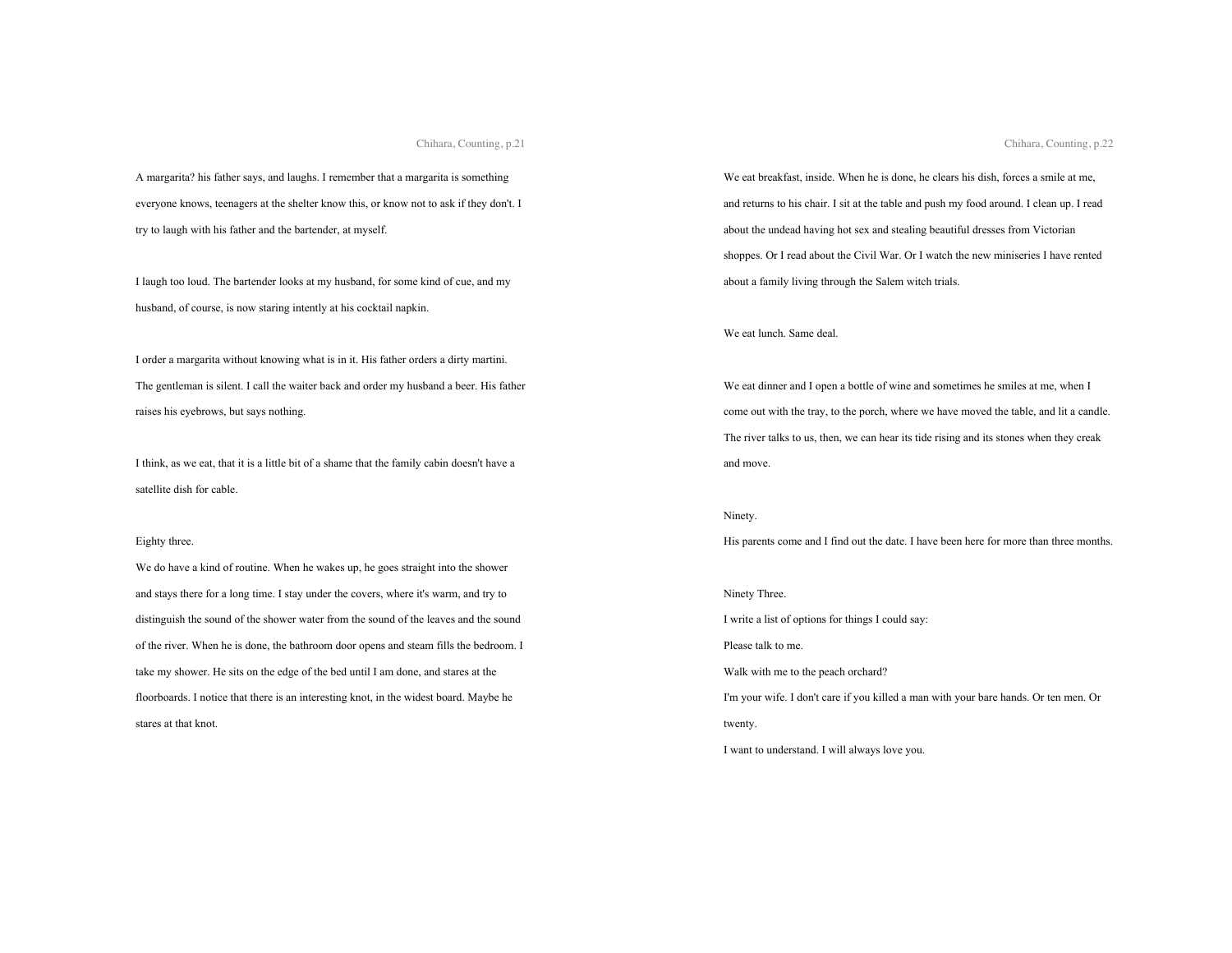A margarita? his father says, and laughs. I remember that a margarita is something everyone knows, teenagers at the shelter know this, or know not to ask if they don't. I try to laugh with his father and the bartender, at myself.

I laugh too loud. The bartender looks at my husband, for some kind of cue, and my husband, of course, is now staring intently at his cocktail napkin.

I order a margarita without knowing what is in it. His father orders a dirty martini. The gentleman is silent. I call the waiter back and order my husband a beer. His father raises his eyebrows, but says nothing.

I think, as we eat, that it is a little bit of a shame that the family cabin doesn't have a satellite dish for cable.

#### Eighty three.

We do have a kind of routine. When he wakes up, he goes straight into the shower and stays there for a long time. I stay under the covers, where it's warm, and try to distinguish the sound of the shower water from the sound of the leaves and the sound of the river. When he is done, the bathroom door opens and steam fills the bedroom. I take my shower. He sits on the edge of the bed until I am done, and stares at the floorboards. I notice that there is an interesting knot, in the widest board. Maybe he stares at that knot.

We eat breakfast, inside. When he is done, he clears his dish, forces a smile at me, and returns to his chair. I sit at the table and push my food around. I clean up. I read about the undead having hot sex and stealing beautiful dresses from Victorian shoppes. Or I read about the Civil War. Or I watch the new miniseries I have rented about a family living through the Salem witch trials.

We eat lunch. Same deal.

We eat dinner and I open a bottle of wine and sometimes he smiles at me, when I come out with the tray, to the porch, where we have moved the table, and lit a candle. The river talks to us, then, we can hear its tide rising and its stones when they creak and move.

# Ninety.

His parents come and I find out the date. I have been here for more than three months.

# Ninety Three.

I write a list of options for things I could say:

Please talk to me.

Walk with me to the peach orchard?

I'm your wife. I don't care if you killed a man with your bare hands. Or ten men. Or twenty.

I want to understand. I will always love you.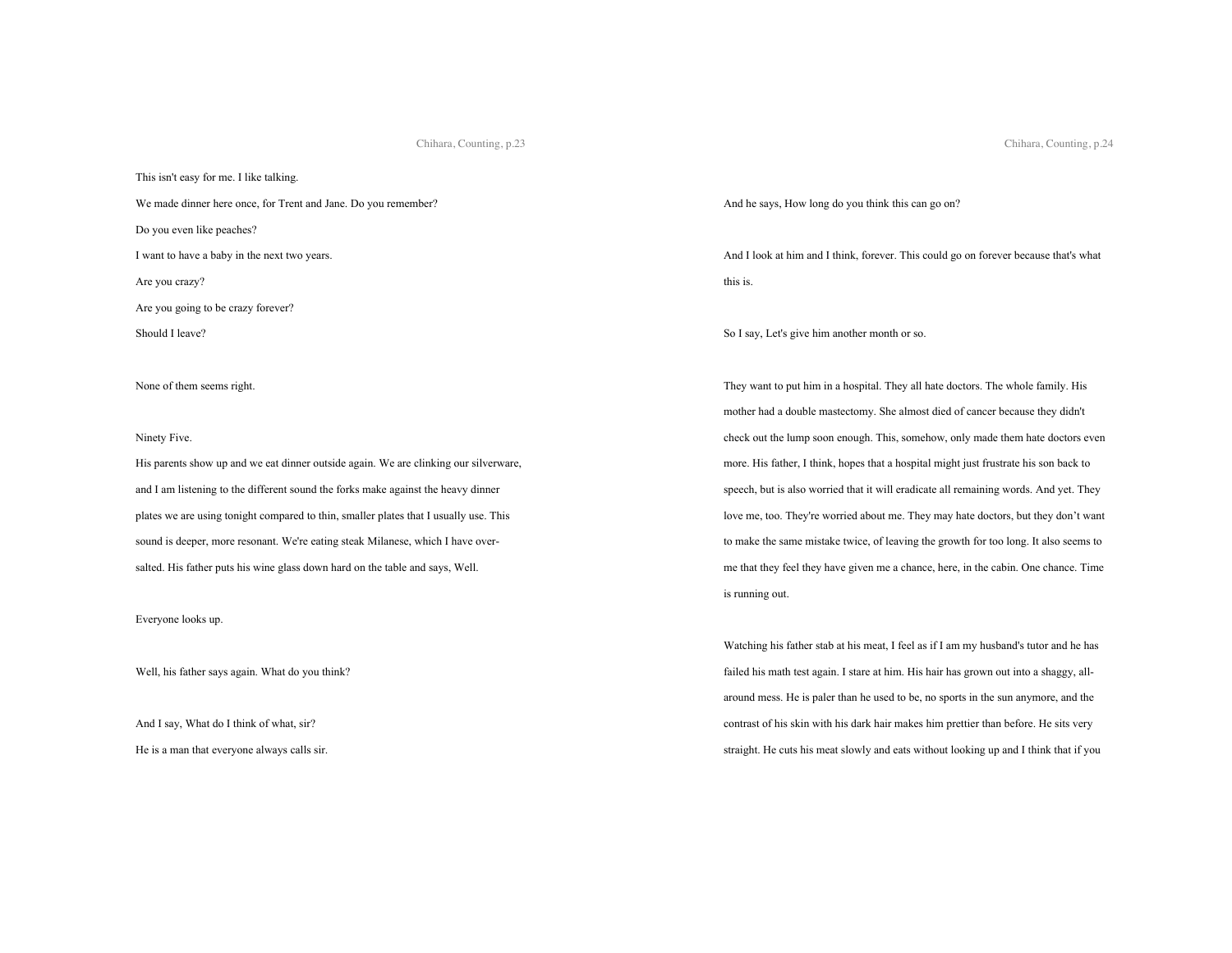This isn't easy for me. I like talking. We made dinner here once, for Trent and Jane. Do you remember? Do you even like peaches? I want to have a baby in the next two years. Are you crazy? Are you going to be crazy forever? Should I leave?

None of them seems right.

#### Ninety Five.

His parents show up and we eat dinner outside again. We are clinking our silverware, and I am listening to the different sound the forks make against the heavy dinner plates we are using tonight compared to thin, smaller plates that I usually use. This sound is deeper, more resonant. We're eating steak Milanese, which I have oversalted. His father puts his wine glass down hard on the table and says, Well.

## Everyone looks up.

Well, his father says again. What do you think?

And I say, What do I think of what, sir?

He is a man that everyone always calls sir.

And he says, How long do you think this can go on?

And I look at him and I think, forever. This could go on forever because that's what this is.

So I say, Let's give him another month or so.

They want to put him in a hospital. They all hate doctors. The whole family. His mother had a double mastectomy. She almost died of cancer because they didn't check out the lump soon enough. This, somehow, only made them hate doctors even more. His father, I think, hopes that a hospital might just frustrate his son back to speech, but is also worried that it will eradicate all remaining words. And yet. They love me, too. They're worried about me. They may hate doctors, but they don't want to make the same mistake twice, of leaving the growth for too long. It also seems to me that they feel they have given me a chance, here, in the cabin. One chance. Time is running out.

Watching his father stab at his meat, I feel as if I am my husband's tutor and he has failed his math test again. I stare at him. His hair has grown out into a shaggy, allaround mess. He is paler than he used to be, no sports in the sun anymore, and the contrast of his skin with his dark hair makes him prettier than before. He sits very straight. He cuts his meat slowly and eats without looking up and I think that if you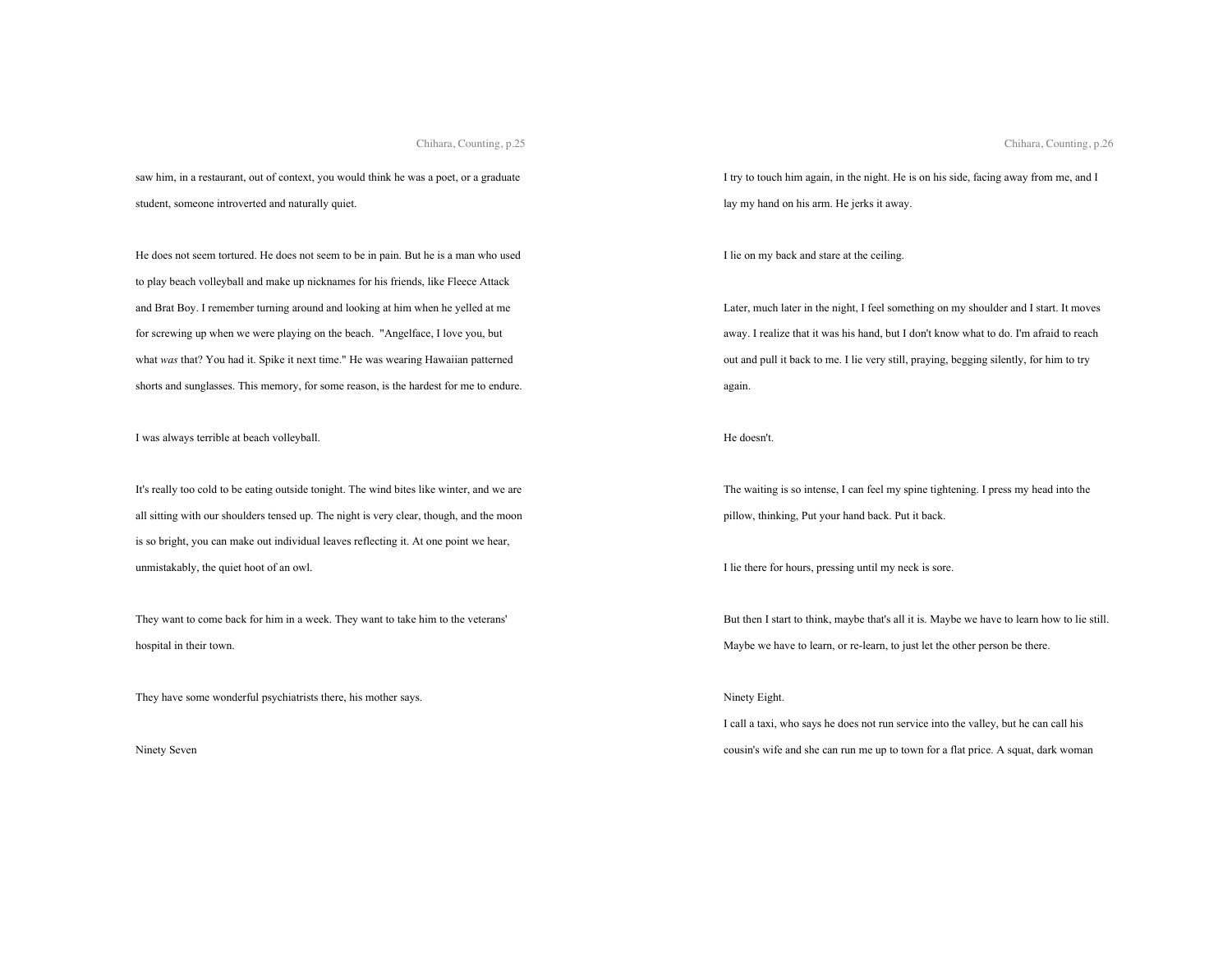saw him, in a restaurant, out of context, you would think he was a poet, or a graduate student, someone introverted and naturally quiet.

He does not seem tortured. He does not seem to be in pain. But he is a man who used to play beach volleyball and make up nicknames for his friends, like Fleece Attack and Brat Boy. I remember turning around and looking at him when he yelled at me for screwing up when we were playing on the beach. "Angelface, I love you, but what *was* that? You had it. Spike it next time." He was wearing Hawaiian patterned shorts and sunglasses. This memory, for some reason, is the hardest for me to endure.

I was always terrible at beach volleyball.

It's really too cold to be eating outside tonight. The wind bites like winter, and we are all sitting with our shoulders tensed up. The night is very clear, though, and the moon is so bright, you can make out individual leaves reflecting it. At one point we hear, unmistakably, the quiet hoot of an owl.

They want to come back for him in a week. They want to take him to the veterans' hospital in their town.

They have some wonderful psychiatrists there, his mother says.

Ninety Seven

I try to touch him again, in the night. He is on his side, facing away from me, and I lay my hand on his arm. He jerks it away.

I lie on my back and stare at the ceiling.

Later, much later in the night, I feel something on my shoulder and I start. It moves away. I realize that it was his hand, but I don't know what to do. I'm afraid to reach out and pull it back to me. I lie very still, praying, begging silently, for him to try again.

He doesn't.

The waiting is so intense, I can feel my spine tightening. I press my head into the pillow, thinking, Put your hand back. Put it back.

I lie there for hours, pressing until my neck is sore.

But then I start to think, maybe that's all it is. Maybe we have to learn how to lie still. Maybe we have to learn, or re-learn, to just let the other person be there.

## Ninety Eight.

I call a taxi, who says he does not run service into the valley, but he can call his cousin's wife and she can run me up to town for a flat price. A squat, dark woman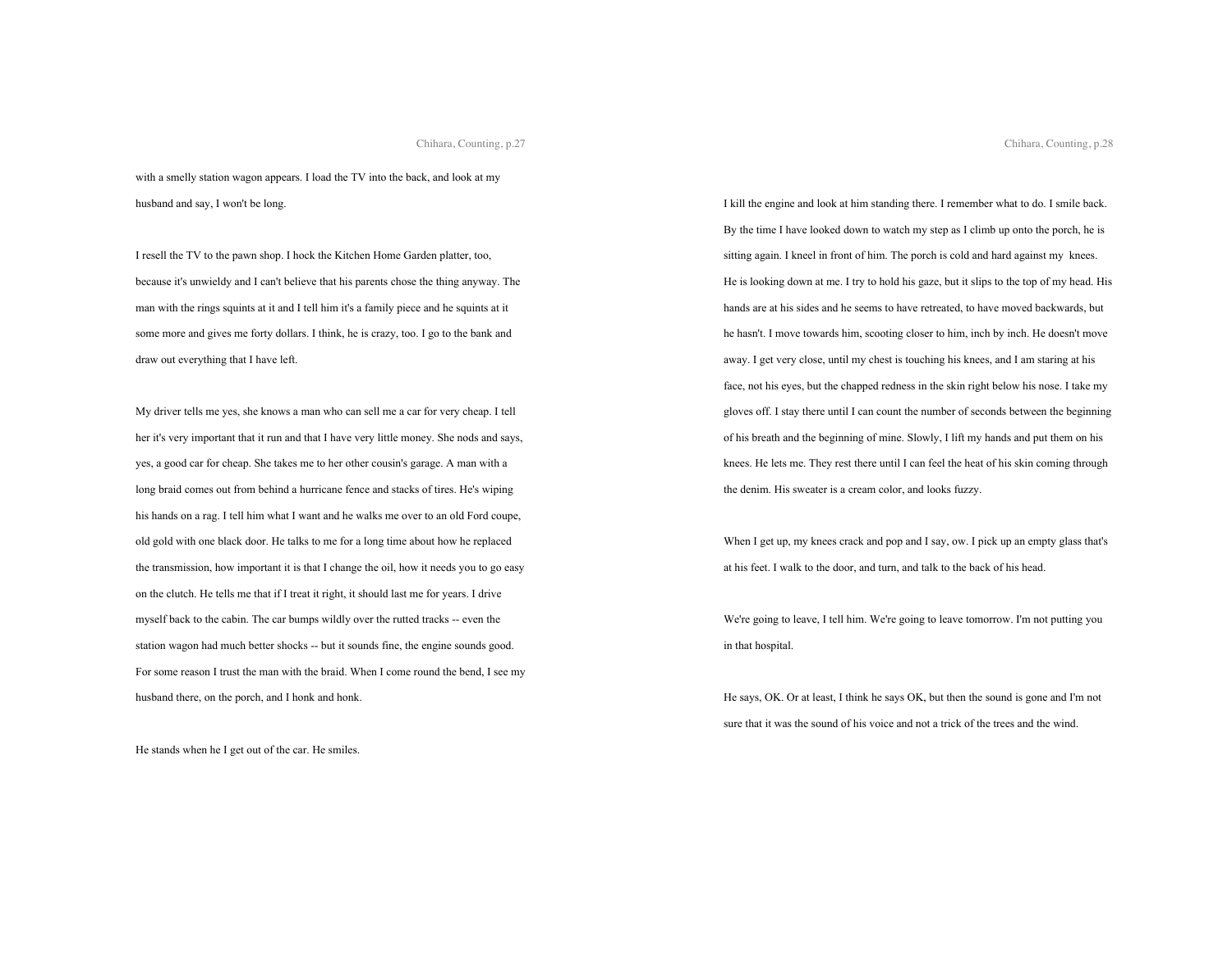with a smelly station wagon appears. I load the TV into the back, and look at my husband and say, I won't be long.

I resell the TV to the pawn shop. I hock the Kitchen Home Garden platter, too, because it's unwieldy and I can't believe that his parents chose the thing anyway. The man with the rings squints at it and I tell him it's a family piece and he squints at it some more and gives me forty dollars. I think, he is crazy, too. I go to the bank and draw out everything that I have left.

My driver tells me yes, she knows a man who can sell me a car for very cheap. I tell her it's very important that it run and that I have very little money. She nods and says, yes, a good car for cheap. She takes me to her other cousin's garage. A man with a long braid comes out from behind a hurricane fence and stacks of tires. He's wiping his hands on a rag. I tell him what I want and he walks me over to an old Ford coupe, old gold with one black door. He talks to me for a long time about how he replaced the transmission, how important it is that I change the oil, how it needs you to go easy on the clutch. He tells me that if I treat it right, it should last me for years. I drive myself back to the cabin. The car bumps wildly over the rutted tracks -- even the station wagon had much better shocks -- but it sounds fine, the engine sounds good. For some reason I trust the man with the braid. When I come round the bend, I see my husband there, on the porch, and I honk and honk.

He stands when he I get out of the car. He smiles.

I kill the engine and look at him standing there. I remember what to do. I smile back. By the time I have looked down to watch my step as I climb up onto the porch, he is sitting again. I kneel in front of him. The porch is cold and hard against my knees. He is looking down at me. I try to hold his gaze, but it slips to the top of my head. His hands are at his sides and he seems to have retreated, to have moved backwards, but he hasn't. I move towards him, scooting closer to him, inch by inch. He doesn't move away. I get very close, until my chest is touching his knees, and I am staring at his face, not his eyes, but the chapped redness in the skin right below his nose. I take my gloves off. I stay there until I can count the number of seconds between the beginning of his breath and the beginning of mine. Slowly, I lift my hands and put them on his knees. He lets me. They rest there until I can feel the heat of his skin coming through the denim. His sweater is a cream color, and looks fuzzy.

When I get up, my knees crack and pop and I say, ow. I pick up an empty glass that's at his feet. I walk to the door, and turn, and talk to the back of his head.

We're going to leave, I tell him. We're going to leave tomorrow. I'm not putting you in that hospital.

He says, OK. Or at least, I think he says OK, but then the sound is gone and I'm not sure that it was the sound of his voice and not a trick of the trees and the wind.